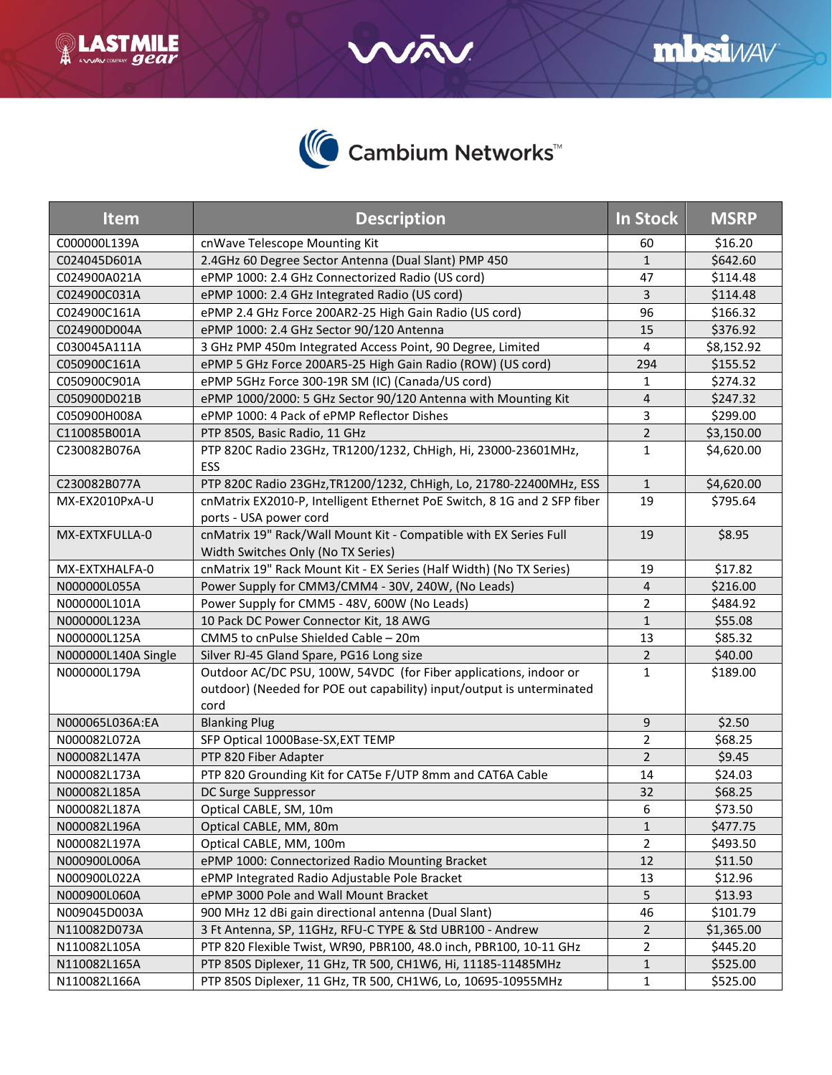



**Q LASTMILE** 

| <b>Item</b>         | <b>Description</b>                                                                                                                                 | <b>In Stock</b> | <b>MSRP</b> |
|---------------------|----------------------------------------------------------------------------------------------------------------------------------------------------|-----------------|-------------|
| C000000L139A        | cnWave Telescope Mounting Kit                                                                                                                      | 60              | \$16.20     |
| C024045D601A        | 2.4GHz 60 Degree Sector Antenna (Dual Slant) PMP 450                                                                                               | $\mathbf{1}$    | \$642.60    |
| C024900A021A        | ePMP 1000: 2.4 GHz Connectorized Radio (US cord)                                                                                                   | 47              | \$114.48    |
| C024900C031A        | ePMP 1000: 2.4 GHz Integrated Radio (US cord)                                                                                                      | 3               | \$114.48    |
| C024900C161A        | ePMP 2.4 GHz Force 200AR2-25 High Gain Radio (US cord)                                                                                             | 96              | \$166.32    |
| C024900D004A        | ePMP 1000: 2.4 GHz Sector 90/120 Antenna                                                                                                           | 15              | \$376.92    |
| C030045A111A        | 3 GHz PMP 450m Integrated Access Point, 90 Degree, Limited                                                                                         | 4               | \$8,152.92  |
| C050900C161A        | ePMP 5 GHz Force 200AR5-25 High Gain Radio (ROW) (US cord)                                                                                         | 294             | \$155.52    |
| C050900C901A        | ePMP 5GHz Force 300-19R SM (IC) (Canada/US cord)                                                                                                   | $\mathbf{1}$    | \$274.32    |
| C050900D021B        | ePMP 1000/2000: 5 GHz Sector 90/120 Antenna with Mounting Kit                                                                                      | $\overline{4}$  | \$247.32    |
| C050900H008A        | ePMP 1000: 4 Pack of ePMP Reflector Dishes                                                                                                         | 3               | \$299.00    |
| C110085B001A        | PTP 850S, Basic Radio, 11 GHz                                                                                                                      | $\overline{2}$  | \$3,150.00  |
| C230082B076A        | PTP 820C Radio 23GHz, TR1200/1232, ChHigh, Hi, 23000-23601MHz,<br>ESS                                                                              | $\mathbf{1}$    | \$4,620.00  |
| C230082B077A        | PTP 820C Radio 23GHz, TR1200/1232, ChHigh, Lo, 21780-22400MHz, ESS                                                                                 | $\mathbf{1}$    | \$4,620.00  |
| MX-EX2010PxA-U      | cnMatrix EX2010-P, Intelligent Ethernet PoE Switch, 8 1G and 2 SFP fiber<br>ports - USA power cord                                                 | 19              | \$795.64    |
| MX-EXTXFULLA-0      | cnMatrix 19" Rack/Wall Mount Kit - Compatible with EX Series Full<br>Width Switches Only (No TX Series)                                            | 19              | \$8.95      |
| MX-EXTXHALFA-0      | cnMatrix 19" Rack Mount Kit - EX Series (Half Width) (No TX Series)                                                                                | 19              | \$17.82     |
| N000000L055A        | Power Supply for CMM3/CMM4 - 30V, 240W, (No Leads)                                                                                                 | $\overline{4}$  | \$216.00    |
| N000000L101A        | Power Supply for CMM5 - 48V, 600W (No Leads)                                                                                                       | $\overline{2}$  | \$484.92    |
| N000000L123A        | 10 Pack DC Power Connector Kit, 18 AWG                                                                                                             | $\mathbf{1}$    | \$55.08     |
| N000000L125A        | CMM5 to cnPulse Shielded Cable - 20m                                                                                                               | 13              | \$85.32     |
| N000000L140A Single | Silver RJ-45 Gland Spare, PG16 Long size                                                                                                           | $\overline{2}$  | \$40.00     |
| N000000L179A        | Outdoor AC/DC PSU, 100W, 54VDC (for Fiber applications, indoor or<br>outdoor) (Needed for POE out capability) input/output is unterminated<br>cord | $\mathbf{1}$    | \$189.00    |
| N000065L036A:EA     | <b>Blanking Plug</b>                                                                                                                               | 9               | \$2.50      |
| N000082L072A        | SFP Optical 1000Base-SX, EXT TEMP                                                                                                                  | $\overline{2}$  | \$68.25     |
| N000082L147A        | PTP 820 Fiber Adapter                                                                                                                              | $\overline{2}$  | \$9.45      |
| N000082L173A        | PTP 820 Grounding Kit for CAT5e F/UTP 8mm and CAT6A Cable                                                                                          | 14              | \$24.03     |
| N000082L185A        | DC Surge Suppressor                                                                                                                                | 32              | \$68.25     |
| N000082L187A        | Optical CABLE, SM, 10m                                                                                                                             | 6               | \$73.50     |
| N000082L196A        | Optical CABLE, MM, 80m                                                                                                                             | $\mathbf{1}$    | \$477.75    |
| N000082L197A        | Optical CABLE, MM, 100m                                                                                                                            | $\overline{2}$  | \$493.50    |
| N000900L006A        | ePMP 1000: Connectorized Radio Mounting Bracket                                                                                                    | 12              | \$11.50     |
| N000900L022A        | ePMP Integrated Radio Adjustable Pole Bracket                                                                                                      | 13              | \$12.96     |
| N000900L060A        | ePMP 3000 Pole and Wall Mount Bracket                                                                                                              | 5               | \$13.93     |
| N009045D003A        | 900 MHz 12 dBi gain directional antenna (Dual Slant)                                                                                               | 46              | \$101.79    |
| N110082D073A        | 3 Ft Antenna, SP, 11GHz, RFU-C TYPE & Std UBR100 - Andrew                                                                                          | $\overline{2}$  | \$1,365.00  |
| N110082L105A        | PTP 820 Flexible Twist, WR90, PBR100, 48.0 inch, PBR100, 10-11 GHz                                                                                 | $\overline{2}$  | \$445.20    |
| N110082L165A        | PTP 850S Diplexer, 11 GHz, TR 500, CH1W6, Hi, 11185-11485MHz                                                                                       | $\mathbf{1}$    | \$525.00    |
| N110082L166A        | PTP 850S Diplexer, 11 GHz, TR 500, CH1W6, Lo, 10695-10955MHz                                                                                       | $\mathbf{1}$    | \$525.00    |